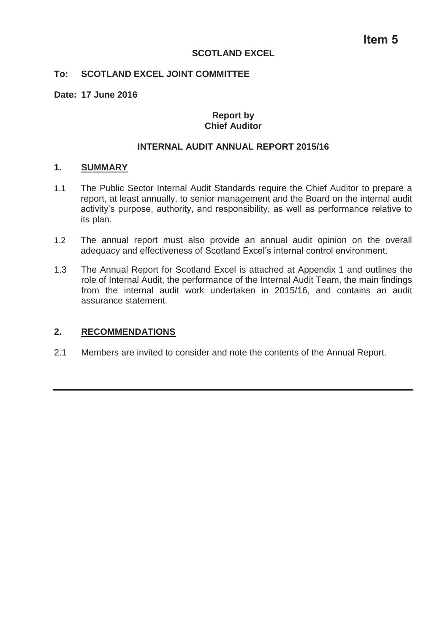#### **SCOTLAND EXCEL**

## **To: SCOTLAND EXCEL JOINT COMMITTEE**

#### **Date: 17 June 2016**

## **Report by Chief Auditor**

# **INTERNAL AUDIT ANNUAL REPORT 2015/16**

#### **1. SUMMARY**

- 1.1 The Public Sector Internal Audit Standards require the Chief Auditor to prepare a report, at least annually, to senior management and the Board on the internal audit activity's purpose, authority, and responsibility, as well as performance relative to its plan.
- 1.2 The annual report must also provide an annual audit opinion on the overall adequacy and effectiveness of Scotland Excel's internal control environment.
- 1.3 The Annual Report for Scotland Excel is attached at Appendix 1 and outlines the role of Internal Audit, the performance of the Internal Audit Team, the main findings from the internal audit work undertaken in 2015/16, and contains an audit assurance statement.

# **2. RECOMMENDATIONS**

2.1 Members are invited to consider and note the contents of the Annual Report.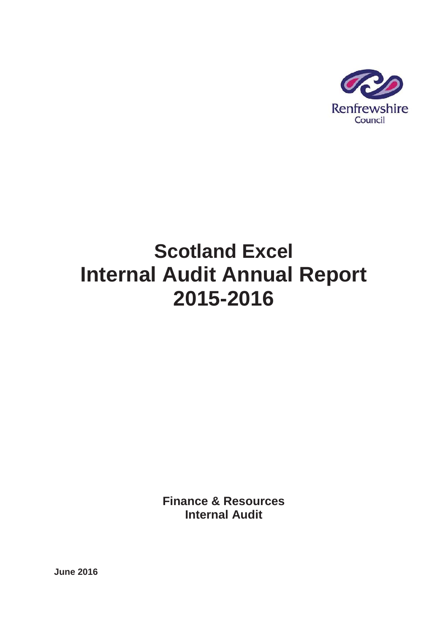

# **Scotland Excel Internal Audit Annual Report 2015-2016**

**Finance & Resources Internal Audit**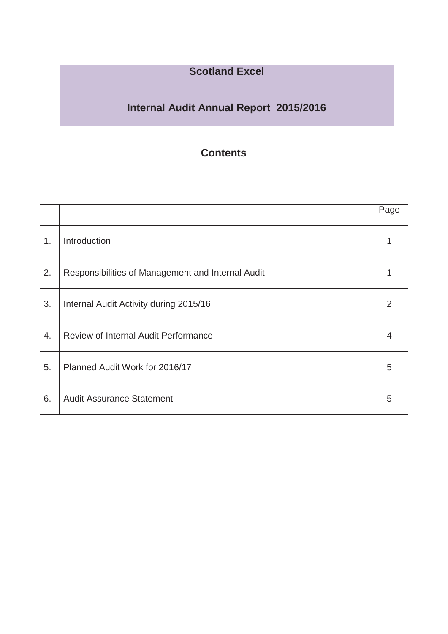# **Scotland Excel**

# **Internal Audit Annual Report 2015/2016**

# **Contents**

|    |                                                   | Page |
|----|---------------------------------------------------|------|
| 1. | Introduction                                      |      |
| 2. | Responsibilities of Management and Internal Audit |      |
| 3. | Internal Audit Activity during 2015/16            | 2    |
| 4. | <b>Review of Internal Audit Performance</b>       | 4    |
| 5. | Planned Audit Work for 2016/17                    | 5    |
| 6. | <b>Audit Assurance Statement</b>                  | 5    |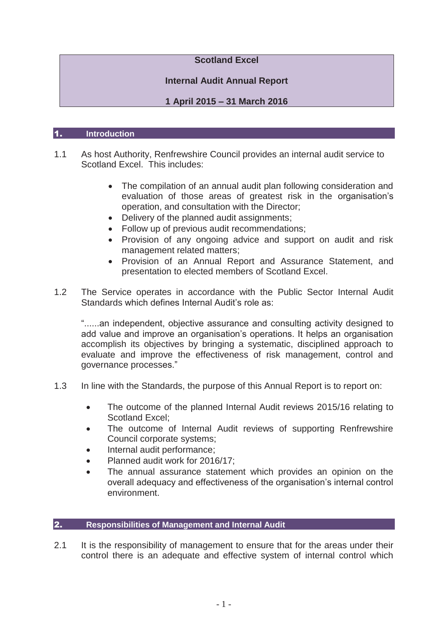# **Scotland Excel**

# **Internal Audit Annual Report**

# **1 April 2015 – 31 March 2016**

#### 1. **Introduction**

- 1.1 As host Authority, Renfrewshire Council provides an internal audit service to Scotland Excel. This includes:
	- The compilation of an annual audit plan following consideration and evaluation of those areas of greatest risk in the organisation's operation, and consultation with the Director;
	- Delivery of the planned audit assignments;
	- Follow up of previous audit recommendations;
	- Provision of any ongoing advice and support on audit and risk management related matters;
	- Provision of an Annual Report and Assurance Statement, and presentation to elected members of Scotland Excel.
- 1.2 The Service operates in accordance with the Public Sector Internal Audit Standards which defines Internal Audit's role as:

"......an independent, objective assurance and consulting activity designed to add value and improve an organisation's operations. It helps an organisation accomplish its objectives by bringing a systematic, disciplined approach to evaluate and improve the effectiveness of risk management, control and governance processes."

- 1.3 In line with the Standards, the purpose of this Annual Report is to report on:
	- The outcome of the planned Internal Audit reviews 2015/16 relating to Scotland Excel;
	- The outcome of Internal Audit reviews of supporting Renfrewshire Council corporate systems;
	- Internal audit performance:
	- Planned audit work for 2016/17:
	- The annual assurance statement which provides an opinion on the overall adequacy and effectiveness of the organisation's internal control environment.

# 2. **Responsibilities of Management and Internal Audit**

2.1 It is the responsibility of management to ensure that for the areas under their control there is an adequate and effective system of internal control which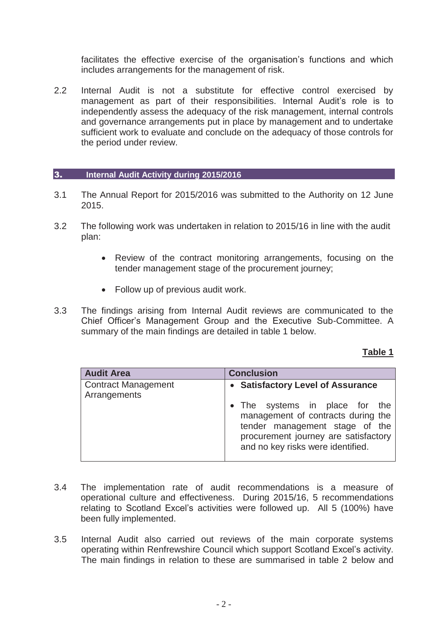facilitates the effective exercise of the organisation's functions and which includes arrangements for the management of risk.

2.2 Internal Audit is not a substitute for effective control exercised by management as part of their responsibilities. Internal Audit's role is to independently assess the adequacy of the risk management, internal controls and governance arrangements put in place by management and to undertake sufficient work to evaluate and conclude on the adequacy of those controls for the period under review.

#### 3. **Internal Audit Activity during 2015/2016**

- 3.1 The Annual Report for 2015/2016 was submitted to the Authority on 12 June 2015.
- 3.2 The following work was undertaken in relation to 2015/16 in line with the audit plan:
	- Review of the contract monitoring arrangements, focusing on the tender management stage of the procurement journey;
	- Follow up of previous audit work.
- 3.3 The findings arising from Internal Audit reviews are communicated to the Chief Officer's Management Group and the Executive Sub-Committee. A summary of the main findings are detailed in table 1 below.

#### **Table 1**

| <b>Audit Area</b>                          | <b>Conclusion</b>                                                                                                                                                                                                        |  |
|--------------------------------------------|--------------------------------------------------------------------------------------------------------------------------------------------------------------------------------------------------------------------------|--|
| <b>Contract Management</b><br>Arrangements | • Satisfactory Level of Assurance<br>• The systems in place for the<br>management of contracts during the<br>tender management stage of the<br>procurement journey are satisfactory<br>and no key risks were identified. |  |

- 3.4 The implementation rate of audit recommendations is a measure of operational culture and effectiveness. During 2015/16, 5 recommendations relating to Scotland Excel's activities were followed up. All 5 (100%) have been fully implemented.
- 3.5 Internal Audit also carried out reviews of the main corporate systems operating within Renfrewshire Council which support Scotland Excel's activity. The main findings in relation to these are summarised in table 2 below and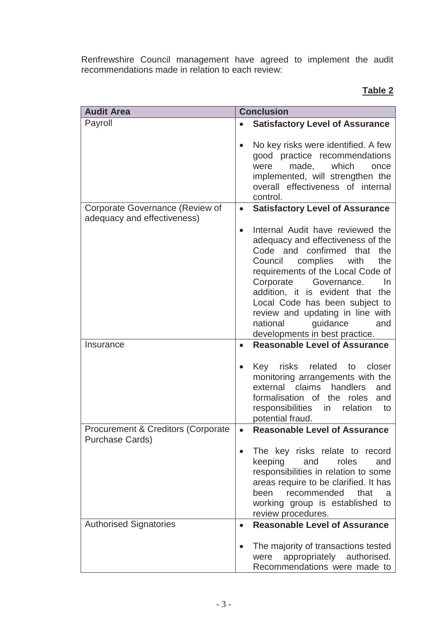Renfrewshire Council management have agreed to implement the audit recommendations made in relation to each review:

# **Table 2**

| <b>Audit Area</b>                                                 | <b>Conclusion</b>                                                                                                                                                                                                                                                                                                                                                                                            |  |
|-------------------------------------------------------------------|--------------------------------------------------------------------------------------------------------------------------------------------------------------------------------------------------------------------------------------------------------------------------------------------------------------------------------------------------------------------------------------------------------------|--|
| Payroll                                                           | <b>Satisfactory Level of Assurance</b>                                                                                                                                                                                                                                                                                                                                                                       |  |
|                                                                   | No key risks were identified. A few<br>good practice recommendations<br>made,<br>which<br>were<br>once<br>implemented, will strengthen the<br>overall effectiveness of internal<br>control.                                                                                                                                                                                                                  |  |
| Corporate Governance (Review of<br>adequacy and effectiveness)    | <b>Satisfactory Level of Assurance</b><br>$\bullet$                                                                                                                                                                                                                                                                                                                                                          |  |
|                                                                   | Internal Audit have reviewed the<br>$\bullet$<br>adequacy and effectiveness of the<br>Code and confirmed<br>that<br>the<br>Council complies<br>with<br>the<br>requirements of the Local Code of<br>Corporate<br>Governance.<br>In<br>addition, it is evident that the<br>Local Code has been subject to<br>review and updating in line with<br>national<br>guidance<br>and<br>developments in best practice. |  |
| Insurance                                                         | <b>Reasonable Level of Assurance</b><br>$\bullet$                                                                                                                                                                                                                                                                                                                                                            |  |
|                                                                   | Key risks<br>related<br>closer<br>to<br>monitoring arrangements with the<br>external claims<br>handlers<br>and<br>formalisation of the roles<br>and<br>responsibilities<br>relation<br>in<br>to<br>potential fraud.                                                                                                                                                                                          |  |
| <b>Procurement &amp; Creditors (Corporate)</b><br>Purchase Cards) | <b>Reasonable Level of Assurance</b><br>$\bullet$                                                                                                                                                                                                                                                                                                                                                            |  |
|                                                                   | The key risks relate to record<br>keeping<br>and<br>roles<br>and<br>responsibilities in relation to some<br>areas require to be clarified. It has<br>been recommended<br>that<br>a<br>working group is established to<br>review procedures.                                                                                                                                                                  |  |
| <b>Authorised Signatories</b>                                     | <b>Reasonable Level of Assurance</b>                                                                                                                                                                                                                                                                                                                                                                         |  |
|                                                                   | The majority of transactions tested<br>appropriately authorised.<br>were<br>Recommendations were made to                                                                                                                                                                                                                                                                                                     |  |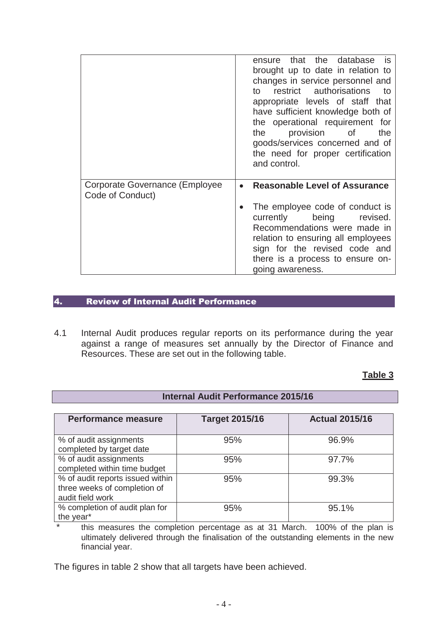|                                                    | ensure that the database is<br>brought up to date in relation to<br>changes in service personnel and<br>restrict authorisations<br>— to<br>to to<br>appropriate levels of staff that<br>have sufficient knowledge both of<br>the operational requirement for<br>provision of<br>the<br>the<br>goods/services concerned and of<br>the need for proper certification<br>and control. |
|----------------------------------------------------|------------------------------------------------------------------------------------------------------------------------------------------------------------------------------------------------------------------------------------------------------------------------------------------------------------------------------------------------------------------------------------|
| Corporate Governance (Employee<br>Code of Conduct) | <b>Reasonable Level of Assurance</b><br>$\bullet$                                                                                                                                                                                                                                                                                                                                  |
|                                                    | The employee code of conduct is<br>currently being<br>revised.<br>Recommendations were made in<br>relation to ensuring all employees<br>sign for the revised code and<br>there is a process to ensure on-<br>going awareness.                                                                                                                                                      |

# 4. Review of Internal Audit Performance

4.1 Internal Audit produces regular reports on its performance during the year against a range of measures set annually by the Director of Finance and Resources. These are set out in the following table.

 **Internal Audit Performance 2015/16** 

# **Table 3**

| <b>Performance measure</b>                                                           | <b>Target 2015/16</b> | <b>Actual 2015/16</b> |
|--------------------------------------------------------------------------------------|-----------------------|-----------------------|
| % of audit assignments<br>completed by target date                                   | 95%                   | 96.9%                 |
| % of audit assignments<br>completed within time budget                               | 95%                   | 97.7%                 |
| % of audit reports issued within<br>three weeks of completion of<br>audit field work | 95%                   | 99.3%                 |
| % completion of audit plan for<br>the year*                                          | 95%                   | 95.1%                 |

\* this measures the completion percentage as at 31 March. 100% of the plan is ultimately delivered through the finalisation of the outstanding elements in the new financial year.

The figures in table 2 show that all targets have been achieved.

# $-4-$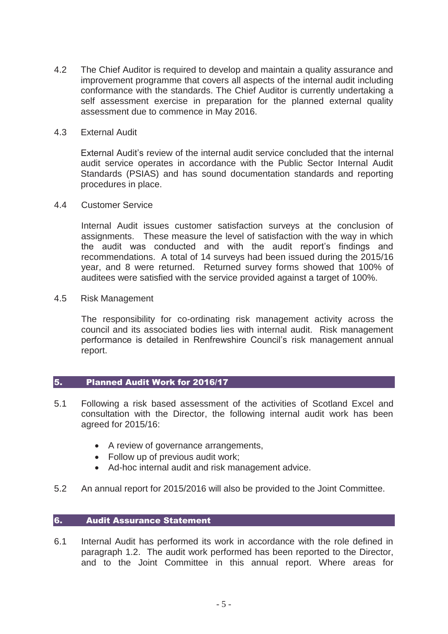- 4.2 The Chief Auditor is required to develop and maintain a quality assurance and improvement programme that covers all aspects of the internal audit including conformance with the standards. The Chief Auditor is currently undertaking a self assessment exercise in preparation for the planned external quality assessment due to commence in May 2016.
- 4.3 External Audit

External Audit's review of the internal audit service concluded that the internal audit service operates in accordance with the Public Sector Internal Audit Standards (PSIAS) and has sound documentation standards and reporting procedures in place.

4.4 Customer Service

Internal Audit issues customer satisfaction surveys at the conclusion of assignments. These measure the level of satisfaction with the way in which the audit was conducted and with the audit report's findings and recommendations. A total of 14 surveys had been issued during the 2015/16 year, and 8 were returned. Returned survey forms showed that 100% of auditees were satisfied with the service provided against a target of 100%.

4.5 Risk Management

The responsibility for co-ordinating risk management activity across the council and its associated bodies lies with internal audit. Risk management performance is detailed in Renfrewshire Council's risk management annual report.

# 5. Planned Audit Work for 2016/17

- 5.1 Following a risk based assessment of the activities of Scotland Excel and consultation with the Director, the following internal audit work has been agreed for 2015/16:
	- A review of governance arrangements,
	- $\bullet$  Follow up of previous audit work;
	- Ad-hoc internal audit and risk management advice.
- 5.2 An annual report for 2015/2016 will also be provided to the Joint Committee.

# 6. Audit Assurance Statement

6.1 Internal Audit has performed its work in accordance with the role defined in paragraph 1.2. The audit work performed has been reported to the Director, and to the Joint Committee in this annual report. Where areas for